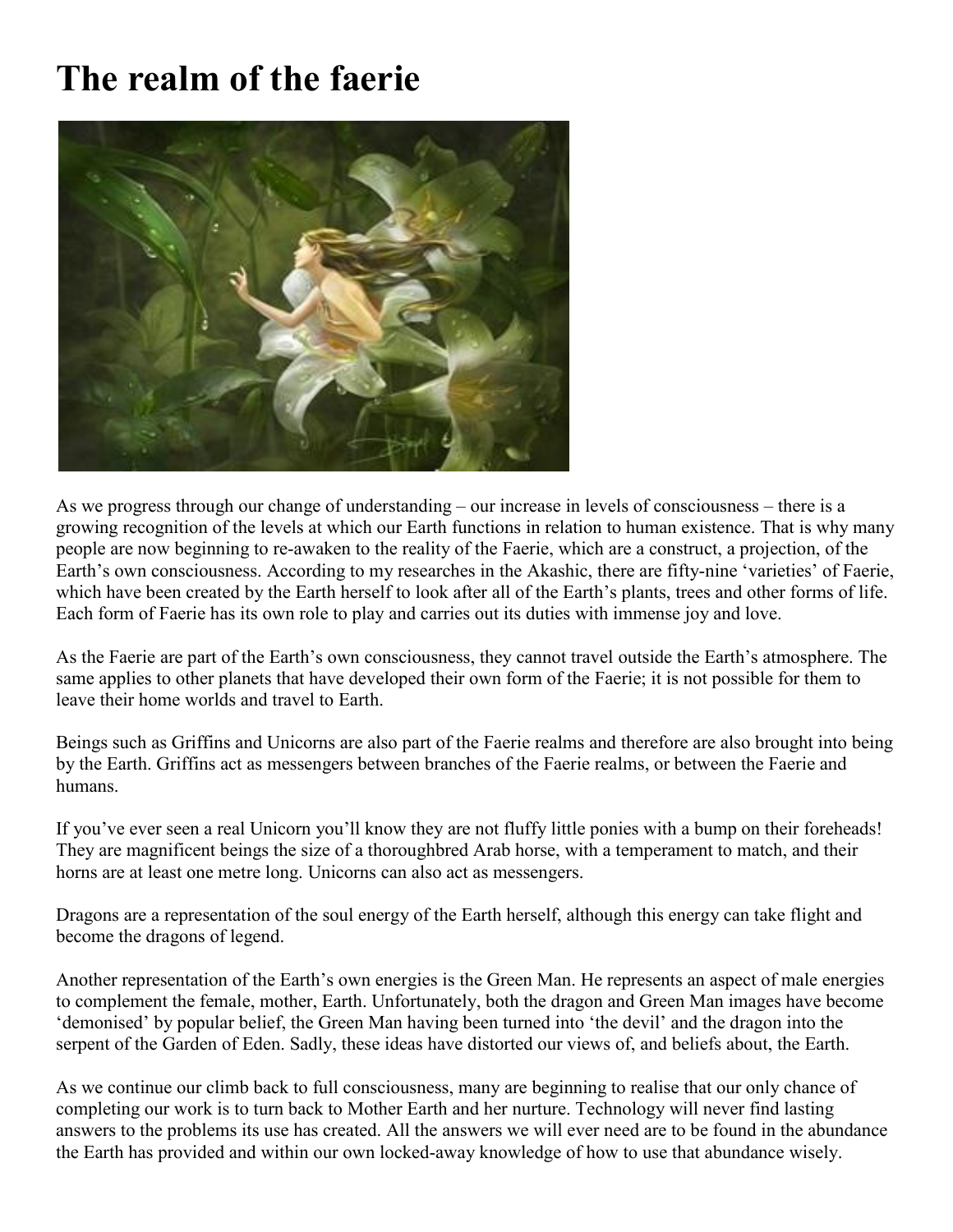## **The realm of the faerie**



As we progress through our change of understanding – our increase in levels of consciousness – there is a growing recognition of the levels at which our Earth functions in relation to human existence. That is why many people are now beginning to re-awaken to the reality of the Faerie, which are a construct, a projection, of the Earth's own consciousness. According to my researches in the Akashic, there are fifty-nine 'varieties' of Faerie, which have been created by the Earth herself to look after all of the Earth's plants, trees and other forms of life. Each form of Faerie has its own role to play and carries out its duties with immense joy and love.

As the Faerie are part of the Earth's own consciousness, they cannot travel outside the Earth's atmosphere. The same applies to other planets that have developed their own form of the Faerie; it is not possible for them to leave their home worlds and travel to Earth.

Beings such as Griffins and Unicorns are also part of the Faerie realms and therefore are also brought into being by the Earth. Griffins act as messengers between branches of the Faerie realms, or between the Faerie and humans.

If you've ever seen a real Unicorn you'll know they are not fluffy little ponies with a bump on their foreheads! They are magnificent beings the size of a thoroughbred Arab horse, with a temperament to match, and their horns are at least one metre long. Unicorns can also act as messengers.

Dragons are a representation of the soul energy of the Earth herself, although this energy can take flight and become the dragons of legend.

Another representation of the Earth's own energies is the Green Man. He represents an aspect of male energies to complement the female, mother, Earth. Unfortunately, both the dragon and Green Man images have become 'demonised' by popular belief, the Green Man having been turned into 'the devil' and the dragon into the serpent of the Garden of Eden. Sadly, these ideas have distorted our views of, and beliefs about, the Earth.

As we continue our climb back to full consciousness, many are beginning to realise that our only chance of completing our work is to turn back to Mother Earth and her nurture. Technology will never find lasting answers to the problems its use has created. All the answers we will ever need are to be found in the abundance the Earth has provided and within our own locked-away knowledge of how to use that abundance wisely.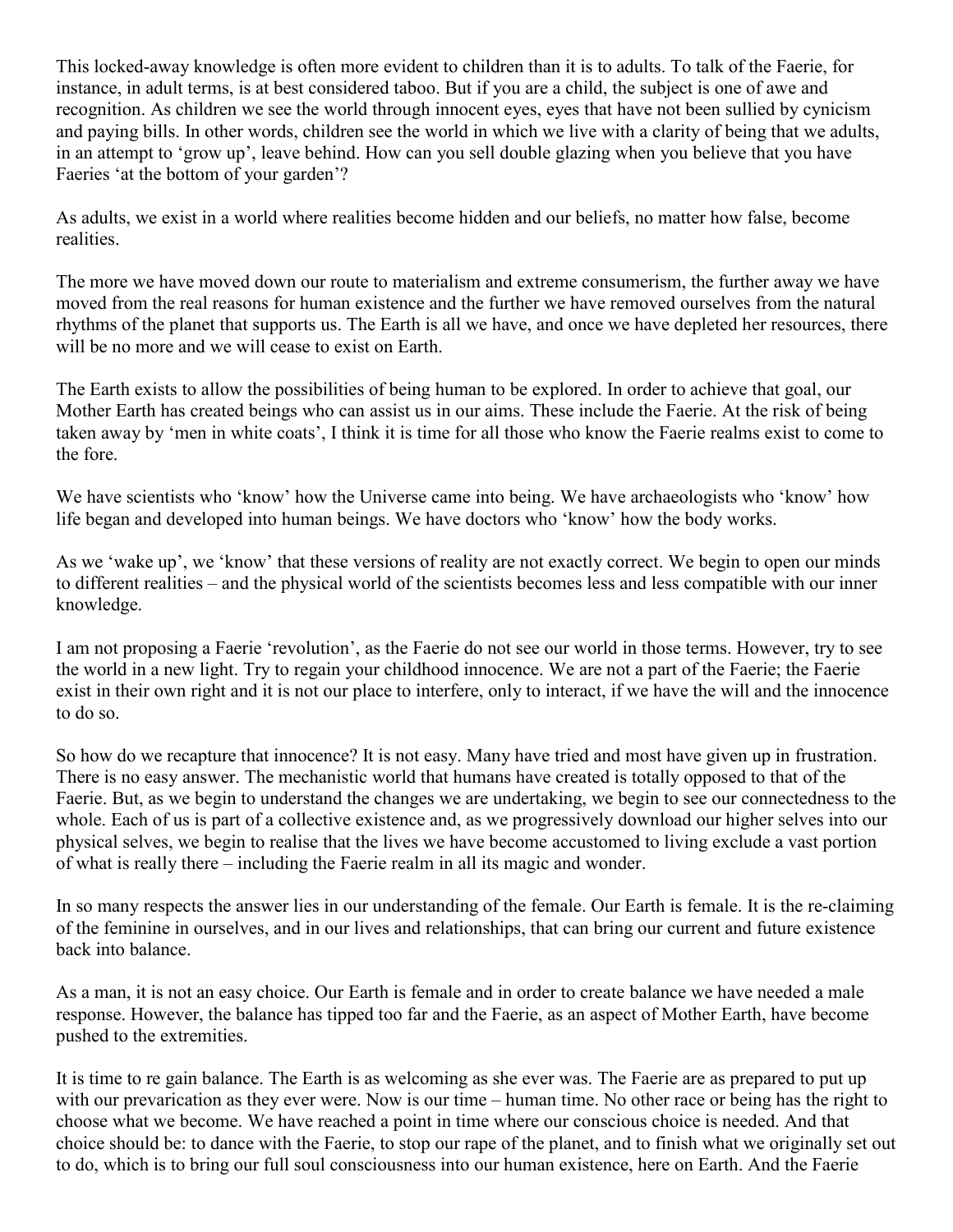This locked-away knowledge is often more evident to children than it is to adults. To talk of the Faerie, for instance, in adult terms, is at best considered taboo. But if you are a child, the subject is one of awe and recognition. As children we see the world through innocent eyes, eyes that have not been sullied by cynicism and paying bills. In other words, children see the world in which we live with a clarity of being that we adults, in an attempt to 'grow up', leave behind. How can you sell double glazing when you believe that you have Faeries 'at the bottom of your garden'?

As adults, we exist in a world where realities become hidden and our beliefs, no matter how false, become realities.

The more we have moved down our route to materialism and extreme consumerism, the further away we have moved from the real reasons for human existence and the further we have removed ourselves from the natural rhythms of the planet that supports us. The Earth is all we have, and once we have depleted her resources, there will be no more and we will cease to exist on Earth.

The Earth exists to allow the possibilities of being human to be explored. In order to achieve that goal, our Mother Earth has created beings who can assist us in our aims. These include the Faerie. At the risk of being taken away by 'men in white coats', I think it is time for all those who know the Faerie realms exist to come to the fore.

We have scientists who 'know' how the Universe came into being. We have archaeologists who 'know' how life began and developed into human beings. We have doctors who 'know' how the body works.

As we 'wake up', we 'know' that these versions of reality are not exactly correct. We begin to open our minds to different realities – and the physical world of the scientists becomes less and less compatible with our inner knowledge.

I am not proposing a Faerie 'revolution', as the Faerie do not see our world in those terms. However, try to see the world in a new light. Try to regain your childhood innocence. We are not a part of the Faerie; the Faerie exist in their own right and it is not our place to interfere, only to interact, if we have the will and the innocence to do so.

So how do we recapture that innocence? It is not easy. Many have tried and most have given up in frustration. There is no easy answer. The mechanistic world that humans have created is totally opposed to that of the Faerie. But, as we begin to understand the changes we are undertaking, we begin to see our connectedness to the whole. Each of us is part of a collective existence and, as we progressively download our higher selves into our physical selves, we begin to realise that the lives we have become accustomed to living exclude a vast portion of what is really there – including the Faerie realm in all its magic and wonder.

In so many respects the answer lies in our understanding of the female. Our Earth is female. It is the re-claiming of the feminine in ourselves, and in our lives and relationships, that can bring our current and future existence back into balance.

As a man, it is not an easy choice. Our Earth is female and in order to create balance we have needed a male response. However, the balance has tipped too far and the Faerie, as an aspect of Mother Earth, have become pushed to the extremities.

It is time to re gain balance. The Earth is as welcoming as she ever was. The Faerie are as prepared to put up with our prevarication as they ever were. Now is our time – human time. No other race or being has the right to choose what we become. We have reached a point in time where our conscious choice is needed. And that choice should be: to dance with the Faerie, to stop our rape of the planet, and to finish what we originally set out to do, which is to bring our full soul consciousness into our human existence, here on Earth. And the Faerie